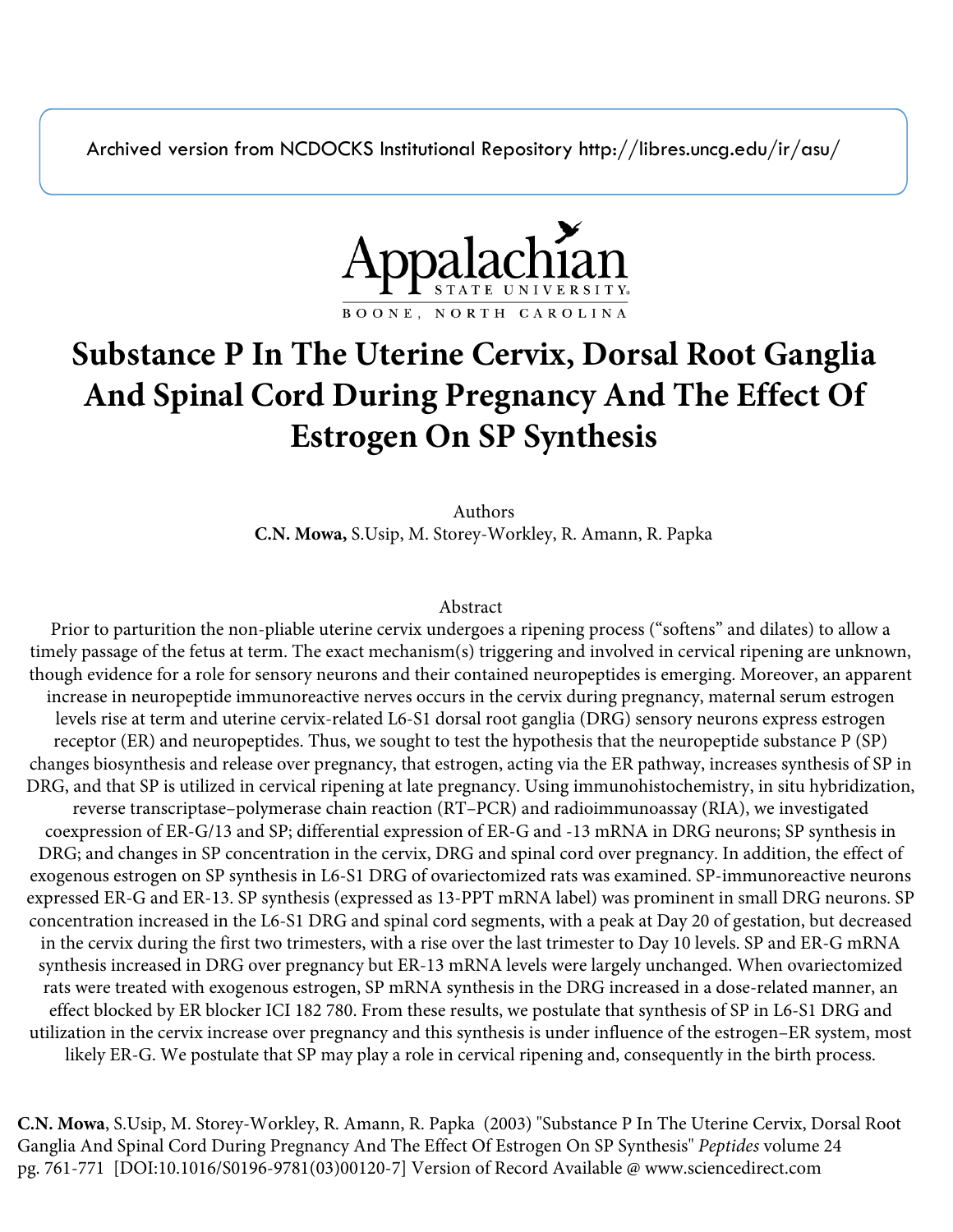Archived version from NCDOCKS Institutional Repository http://libres.uncg.edu/ir/asu/



# **Substance P In The Uterine Cervix, Dorsal Root Ganglia And Spinal Cord During Pregnancy And The Effect Of Estrogen On SP Synthesis**

Authors **C.N. Mowa,** S.Usip, M. Storey-Workley, R. Amann, R. Papka

# Abstract

Prior to parturition the non-pliable uterine cervix undergoes a ripening process ("softens" and dilates) to allow a timely passage of the fetus at term. The exact mechanism(s) triggering and involved in cervical ripening are unknown, though evidence for a role for sensory neurons and their contained neuropeptides is emerging. Moreover, an apparent increase in neuropeptide immunoreactive nerves occurs in the cervix during pregnancy, maternal serum estrogen levels rise at term and uterine cervix-related L6-S1 dorsal root ganglia (DRG) sensory neurons express estrogen receptor (ER) and neuropeptides. Thus, we sought to test the hypothesis that the neuropeptide substance P (SP) changes biosynthesis and release over pregnancy, that estrogen, acting via the ER pathway, increases synthesis of SP in DRG, and that SP is utilized in cervical ripening at late pregnancy. Using immunohistochemistry, in situ hybridization, reverse transcriptase–polymerase chain reaction (RT–PCR) and radioimmunoassay (RIA), we investigated coexpression of ER-G/13 and SP; differential expression of ER-G and -13 mRNA in DRG neurons; SP synthesis in DRG; and changes in SP concentration in the cervix, DRG and spinal cord over pregnancy. In addition, the effect of exogenous estrogen on SP synthesis in L6-S1 DRG of ovariectomized rats was examined. SP-immunoreactive neurons expressed ER-G and ER-13. SP synthesis (expressed as 13-PPT mRNA label) was prominent in small DRG neurons. SP concentration increased in the L6-S1 DRG and spinal cord segments, with a peak at Day 20 of gestation, but decreased in the cervix during the first two trimesters, with a rise over the last trimester to Day 10 levels. SP and ER-G mRNA synthesis increased in DRG over pregnancy but ER-13 mRNA levels were largely unchanged. When ovariectomized rats were treated with exogenous estrogen, SP mRNA synthesis in the DRG increased in a dose-related manner, an effect blocked by ER blocker ICI 182 780. From these results, we postulate that synthesis of SP in L6-S1 DRG and utilization in the cervix increase over pregnancy and this synthesis is under influence of the estrogen–ER system, most likely ER-G. We postulate that SP may play a role in cervical ripening and, consequently in the birth process.

**C.N. Mowa**, S.Usip, M. Storey-Workley, R. Amann, R. Papka (2003) "Substance P In The Uterine Cervix, Dorsal Root Ganglia And Spinal Cord During Pregnancy And The Effect Of Estrogen On SP Synthesis" *Peptides* volume 24 pg. 761-771 [DOI:10.1016/S0196-9781(03)00120-7] Version of Record Available @ www.sciencedirect.com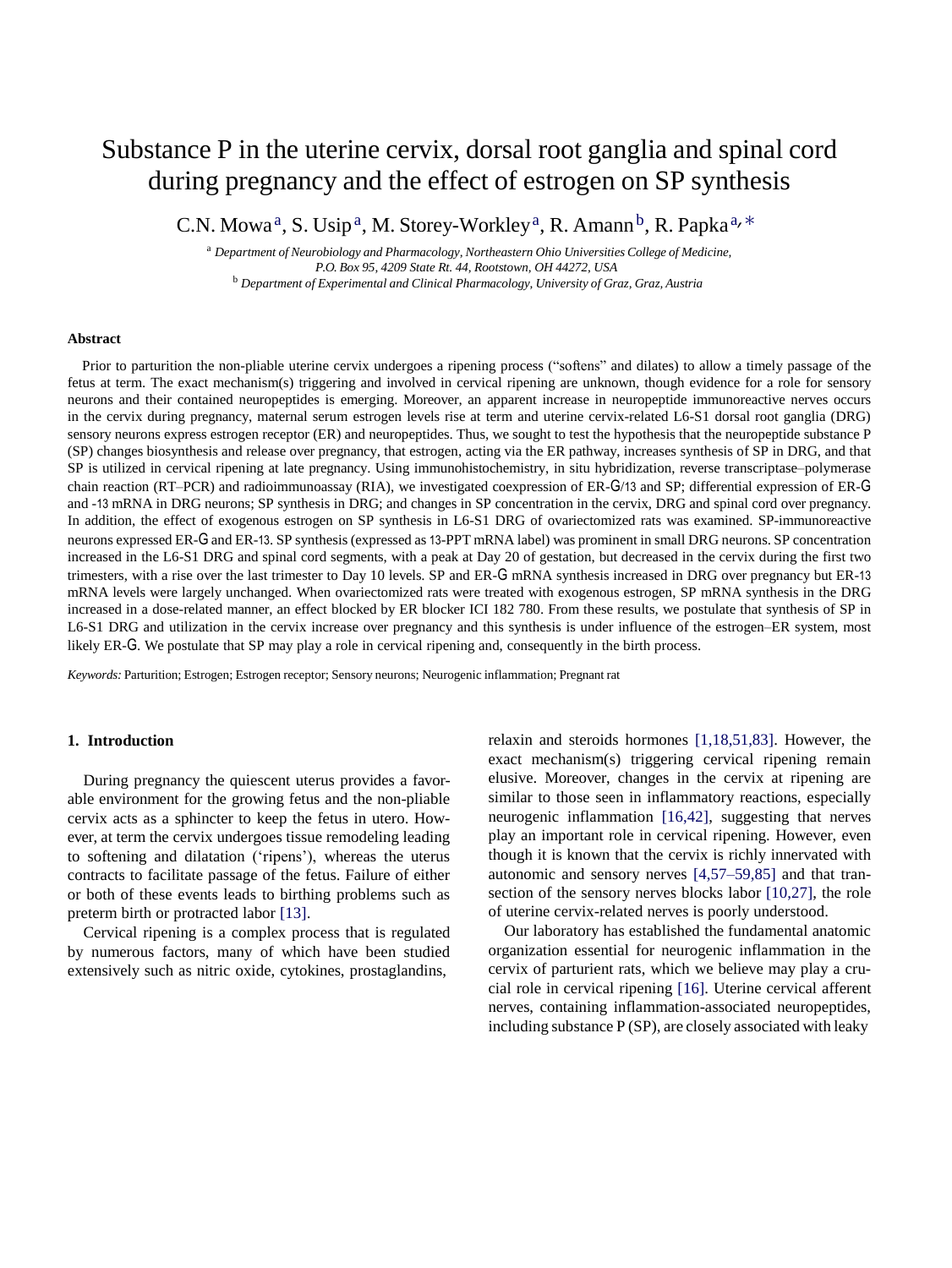# <span id="page-1-0"></span>Substance P in the uterine cervix, dorsal root ganglia and spinal cord during pregnancy and the effect of estrogen on SP synthesis

C.N. Mowa<sup>a</sup>[, S.](#page-1-0) Usip<sup>[a](#page-1-0)</sup>, M. Storey-Workley<sup>a</sup>[, R.](#page-1-1) Amann<sup>b</sup>, R. Papka<sup>a,\*</sup>

<span id="page-1-1"></span><sup>a</sup>*Department of Neurobiology and Pharmacology, Northeastern Ohio Universities College of Medicine, P.O. Box 95, 4209 State Rt. 44, Rootstown, OH 44272, USA* <sup>b</sup>*Department of Experimental and Clinical Pharmacology, University of Graz, Graz, Austria*

#### **Abstract**

Prior to parturition the non-pliable uterine cervix undergoes a ripening process ("softens" and dilates) to allow a timely passage of the fetus at term. The exact mechanism(s) triggering and involved in cervical ripening are unknown, though evidence for a role for sensory neurons and their contained neuropeptides is emerging. Moreover, an apparent increase in neuropeptide immunoreactive nerves occurs in the cervix during pregnancy, maternal serum estrogen levels rise at term and uterine cervix-related L6-S1 dorsal root ganglia (DRG) sensory neurons express estrogen receptor (ER) and neuropeptides. Thus, we sought to test the hypothesis that the neuropeptide substance P (SP) changes biosynthesis and release over pregnancy, that estrogen, acting via the ER pathway, increases synthesis of SP in DRG, and that SP is utilized in cervical ripening at late pregnancy. Using immunohistochemistry, in situ hybridization, reverse transcriptase–polymerase chain reaction (RT–PCR) and radioimmunoassay (RIA), we investigated coexpression of ER-G/13 and SP; differential expression of ER-G and -13 mRNA in DRG neurons; SP synthesis in DRG; and changes in SP concentration in the cervix, DRG and spinal cord over pregnancy. In addition, the effect of exogenous estrogen on SP synthesis in L6-S1 DRG of ovariectomized rats was examined. SP-immunoreactive neurons expressed ER-G and ER-13. SP synthesis (expressed as 13-PPT mRNA label) was prominent in small DRG neurons. SP concentration increased in the L6-S1 DRG and spinal cord segments, with a peak at Day 20 of gestation, but decreased in the cervix during the first two trimesters, with a rise over the last trimester to Day 10 levels. SP and ER-G mRNA synthesis increased in DRG over pregnancy but ER-13 mRNA levels were largely unchanged. When ovariectomized rats were treated with exogenous estrogen, SP mRNA synthesis in the DRG increased in a dose-related manner, an effect blocked by ER blocker ICI 182 780. From these results, we postulate that synthesis of SP in L6-S1 DRG and utilization in the cervix increase over pregnancy and this synthesis is under influence of the estrogen–ER system, most likely ER-G. We postulate that SP may play a role in cervical ripening and, consequently in the birth process.

*Keywords:* Parturition; Estrogen; Estrogen receptor; Sensory neurons; Neurogenic inflammation; Pregnant rat

# **1. Introduction**

During pregnancy the quiescent uterus provides a favorable environment for the growing fetus and the non-pliable cervix acts as a sphincter to keep the fetus in utero. However, at term the cervix undergoes tissue remodeling leading to softening and dilatation ('ripens'), whereas the uterus contracts to facilitate passage of the fetus. Failure of either or both of these events leads to birthing problems such as preterm birth or protracted labor [\[13\].](#page-10-0)

Cervical ripening is a complex process that is regulated by numerous factors, many of which have been studied extensively such as nitric oxide, cytokines, prostaglandins,

relaxin and steroids hormones [\[1,18,51,83\].](#page-9-0) However, the exact mechanism(s) triggering cervical ripening remain elusive. Moreover, changes in the cervix at ripening are similar to those seen in inflammatory reactions, especially neurogenic inflammation [\[16,42\],](#page-10-1) suggesting that nerves play an important role in cervical ripening. However, even though it is known that the cervix is richly innervated with autonomic and sensory nerves [\[4,57–59,85\]](#page-9-1) and that transection of the sensory nerves blocks labor [\[10,27\],](#page-10-2) the role of uterine cervix-related nerves is poorly understood.

Our laboratory has established the fundamental anatomic organization essential for neurogenic inflammation in the cervix of parturient rats, which we believe may play a crucial role in cervical ripening [\[16\].](#page-10-1) Uterine cervical afferent nerves, containing inflammation-associated neuropeptides, including substance P (SP), are closely associated with leaky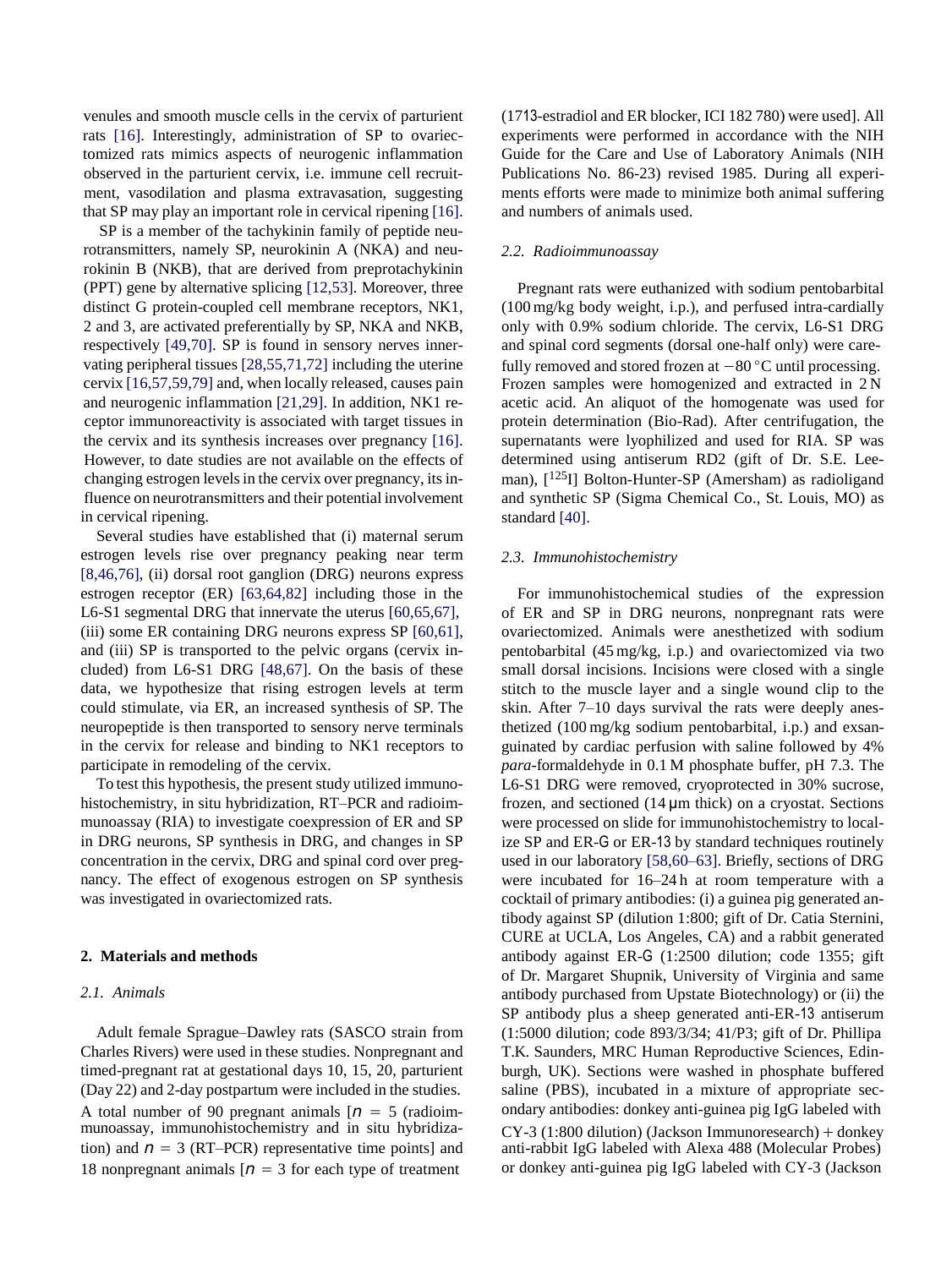venules and smooth muscle cells in the cervix of parturient rats [\[16\].](#page-10-1) Interestingly, administration of SP to ovariectomized rats mimics aspects of neurogenic inflammation observed in the parturient cervix, i.e. immune cell recruitment, vasodilation and plasma extravasation, suggesting that SP may play an important role in cervical ripening [\[16\].](#page-10-1)

SP is a member of the tachykinin family of peptide neurotransmitters, namely SP, neurokinin A (NKA) and neurokinin B (NKB), that are derived from preprotachykinin (PPT) gene by alternative splicing [\[12,53\].](#page-10-3) Moreover, three distinct G protein-coupled cell membrane receptors, NK1, 2 and 3, are activated preferentially by SP, NKA and NKB, respectively [\[49,70\].](#page-10-4) SP is found in sensory nerves innervating peripheral tissues [\[28,55,71,72\]](#page-10-5) including the uterine cervix [\[16,57,59,79\]](#page-10-1) and, when locally released, causes pain and neurogenic inflammation [\[21,29\].](#page-10-6) In addition, NK1 receptor immunoreactivity is associated with target tissues in the cervix and its synthesis increases over pregnancy [\[16\].](#page-10-1) However, to date studies are not available on the effects of changing estrogen levelsin the cervix over pregnancy, its influence on neurotransmitters and their potential involvement in cervical ripening.

Several studies have established that (i) maternal serum estrogen levels rise over pregnancy peaking near term [\[8,46,76\],](#page-9-2) (ii) dorsal root ganglion (DRG) neurons express estrogen receptor (ER) [\[63,64,82\]](#page-11-0) including those in the L6-S1 segmental DRG that innervate the uterus [\[60,65,67\],](#page-11-1) (iii) some ER containing DRG neurons express SP [\[60,61\],](#page-11-1) and (iii) SP is transported to the pelvic organs (cervix included) from L6-S1 DRG [\[48,67\].](#page-10-7) On the basis of these data, we hypothesize that rising estrogen levels at term could stimulate, via ER, an increased synthesis of SP. The neuropeptide is then transported to sensory nerve terminals in the cervix for release and binding to NK1 receptors to participate in remodeling of the cervix.

To test this hypothesis, the present study utilized immunohistochemistry, in situ hybridization, RT–PCR and radioimmunoassay (RIA) to investigate coexpression of ER and SP in DRG neurons, SP synthesis in DRG, and changes in SP concentration in the cervix, DRG and spinal cord over pregnancy. The effect of exogenous estrogen on SP synthesis was investigated in ovariectomized rats.

#### **2. Materials and methods**

#### *2.1. Animals*

Adult female Sprague–Dawley rats (SASCO strain from Charles Rivers) were used in these studies. Nonpregnant and timed-pregnant rat at gestational days 10, 15, 20, parturient (Day 22) and 2-day postpartum were included in the studies. A total number of 90 pregnant animals  $[n = 5$  (radioimmunoassay, immunohistochemistry and in situ hybridization) and  $n = 3$  (RT–PCR) representative time points] and 18 nonpregnant animals  $[n = 3$  for each type of treatment

(1713-estradiol and ER blocker, ICI 182 780) were used]. All experiments were performed in accordance with the NIH Guide for the Care and Use of Laboratory Animals (NIH Publications No. 86-23) revised 1985. During all experiments efforts were made to minimize both animal suffering and numbers of animals used.

#### *2.2. Radioimmunoassay*

Pregnant rats were euthanized with sodium pentobarbital (100 mg/kg body weight, i.p.), and perfused intra-cardially only with 0.9% sodium chloride. The cervix, L6-S1 DRG and spinal cord segments (dorsal one-half only) were carefully removed and stored frozen at −80 ◦C until processing. Frozen samples were homogenized and extracted in 2 N acetic acid. An aliquot of the homogenate was used for protein determination (Bio-Rad). After centrifugation, the supernatants were lyophilized and used for RIA. SP was determined using antiserum RD2 (gift of Dr. S.E. Leeman), [<sup>125</sup>I] Bolton-Hunter-SP (Amersham) as radioligand and synthetic SP (Sigma Chemical Co., St. Louis, MO) as standard [\[40\].](#page-10-8)

#### *2.3. Immunohistochemistry*

For immunohistochemical studies of the expression of ER and SP in DRG neurons, nonpregnant rats were ovariectomized. Animals were anesthetized with sodium pentobarbital (45 mg/kg, i.p.) and ovariectomized via two small dorsal incisions. Incisions were closed with a single stitch to the muscle layer and a single wound clip to the skin. After 7–10 days survival the rats were deeply anesthetized (100 mg/kg sodium pentobarbital, i.p.) and exsanguinated by cardiac perfusion with saline followed by 4% *para*-formaldehyde in 0.1 M phosphate buffer, pH 7.3. The L6-S1 DRG were removed, cryoprotected in 30% sucrose, frozen, and sectioned  $(14 \mu m)$  thick) on a cryostat. Sections were processed on slide for immunohistochemistry to localize SP and ER-G or ER-13 by standard techniques routinely used in our laboratory [\[58,60–63\].](#page-11-2) Briefly, sections of DRG were incubated for 16–24 h at room temperature with a cocktail of primary antibodies: (i) a guinea pig generated antibody against SP (dilution 1:800; gift of Dr. Catia Sternini, CURE at UCLA, Los Angeles, CA) and a rabbit generated antibody against ER-G (1:2500 dilution; code 1355; gift of Dr. Margaret Shupnik, University of Virginia and same antibody purchased from Upstate Biotechnology) or (ii) the SP antibody plus a sheep generated anti-ER-13 antiserum (1:5000 dilution; code 893/3/34; 41/P3; gift of Dr. Phillipa T.K. Saunders, MRC Human Reproductive Sciences, Edinburgh, UK). Sections were washed in phosphate buffered saline (PBS), incubated in a mixture of appropriate secondary antibodies: donkey anti-guinea pig IgG labeled with  $CY-3$  (1:800 dilution) (Jackson Immunoresearch) + donkey anti-rabbit IgG labeled with Alexa 488 (Molecular Probes) or donkey anti-guinea pig IgG labeled with CY-3 (Jackson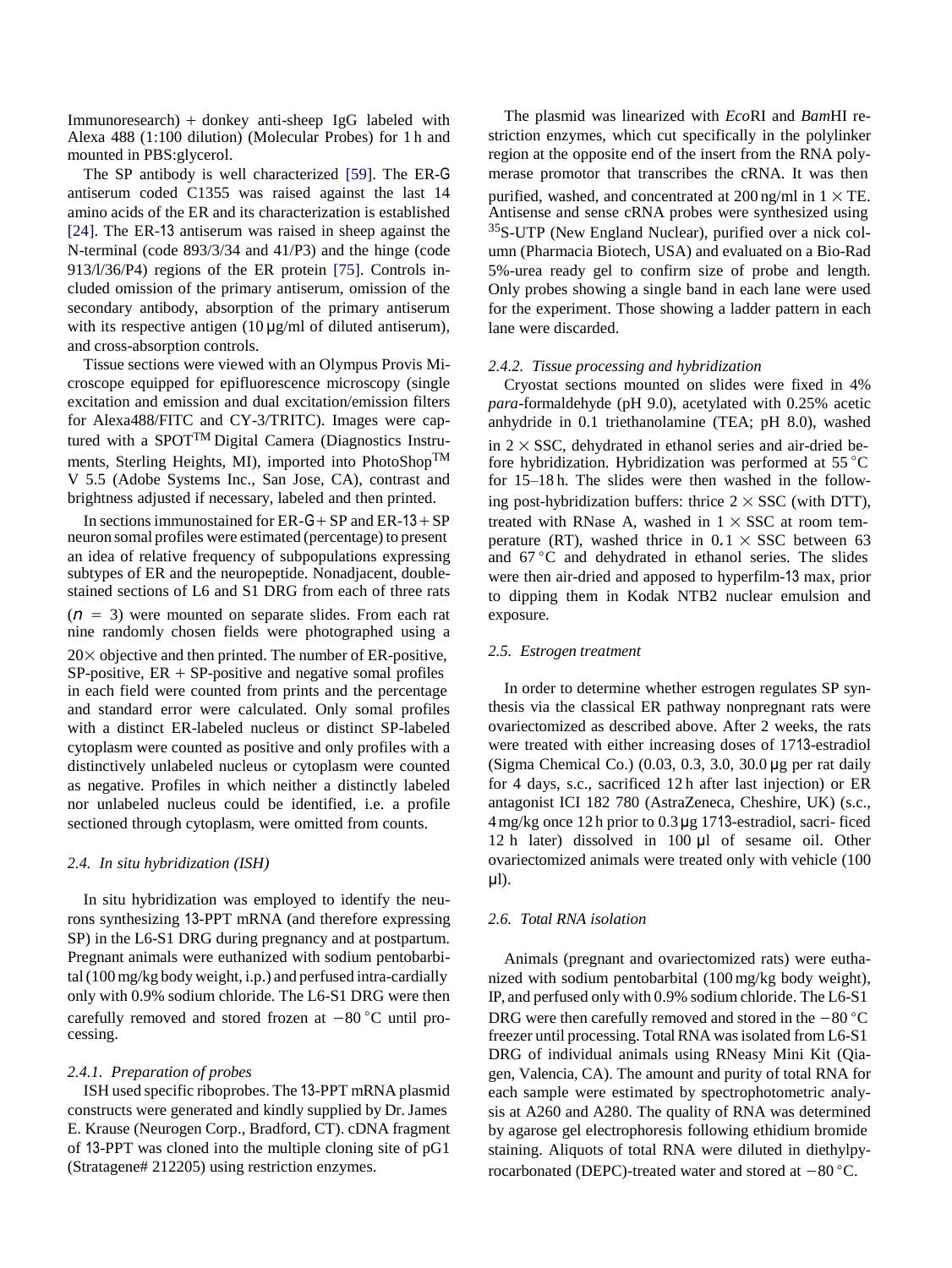Immunoresearch) + donkey anti-sheep IgG labeled with Alexa 488 (1:100 dilution) (Molecular Probes) for 1 h and mounted in PBS:glycerol.

The SP antibody is well characterized [\[59\].](#page-11-3) The ER-G antiserum coded C1355 was raised against the last 14 amino acids of the ER and its characterization is established [\[24\].](#page-10-9) The ER-13 antiserum was raised in sheep against the N-terminal (code 893/3/34 and 41/P3) and the hinge (code 913/l/36/P4) regions of the ER protein [\[75\].](#page-11-4) Controls included omission of the primary antiserum, omission of the secondary antibody, absorption of the primary antiserum with its respective antigen  $(10 \mu g/ml)$  of diluted antiserum), and cross-absorption controls.

Tissue sections were viewed with an Olympus Provis Microscope equipped for epifluorescence microscopy (single excitation and emission and dual excitation/emission filters for Alexa488/FITC and CY-3/TRITC). Images were captured with a SPOT<sup>TM</sup> Digital Camera (Diagnostics Instruments, Sterling Heights, MI), imported into PhotoShop<sup>TM</sup> V 5.5 (Adobe Systems Inc., San Jose, CA), contrast and brightness adjusted if necessary, labeled and then printed.

In sections immunostained for  $ER-G+SP$  and  $ER-13+SP$ neuron somal profiles were estimated (percentage) to present an idea of relative frequency of subpopulations expressing subtypes of ER and the neuropeptide. Nonadjacent, doublestained sections of L6 and S1 DRG from each of three rats  $(n = 3)$  were mounted on separate slides. From each rat nine randomly chosen fields were photographed using a  $20\times$  objective and then printed. The number of ER-positive,  $SP$ -positive,  $ER + SP$ -positive and negative somal profiles in each field were counted from prints and the percentage and standard error were calculated. Only somal profiles with a distinct ER-labeled nucleus or distinct SP-labeled cytoplasm were counted as positive and only profiles with a distinctively unlabeled nucleus or cytoplasm were counted as negative. Profiles in which neither a distinctly labeled nor unlabeled nucleus could be identified, i.e. a profile sectioned through cytoplasm, were omitted from counts.

#### *2.4. In situ hybridization (ISH)*

In situ hybridization was employed to identify the neurons synthesizing 13-PPT mRNA (and therefore expressing SP) in the L6-S1 DRG during pregnancy and at postpartum. Pregnant animals were euthanized with sodium pentobarbital  $(100 \text{ mg/kg}$  body weight, i.p.) and perfused intra-cardially only with 0.9% sodium chloride. The L6-S1 DRG were then carefully removed and stored frozen at −80 ◦C until processing.

# *2.4.1. Preparation of probes*

ISH used specific riboprobes. The 13-PPT mRNA plasmid constructs were generated and kindly supplied by Dr. James E. Krause (Neurogen Corp., Bradford, CT). cDNA fragment of 13-PPT was cloned into the multiple cloning site of pG1 (Stratagene# 212205) using restriction enzymes.

The plasmid was linearized with *Eco*RI and *Bam*HI restriction enzymes, which cut specifically in the polylinker region at the opposite end of the insert from the RNA polymerase promotor that transcribes the cRNA. It was then purified, washed, and concentrated at  $200$  ng/ml in  $1 \times$  TE. Antisense and sense cRNA probes were synthesized using  $35S$ -UTP (New England Nuclear), purified over a nick column (Pharmacia Biotech, USA) and evaluated on a Bio-Rad 5%-urea ready gel to confirm size of probe and length. Only probes showing a single band in each lane were used for the experiment. Those showing a ladder pattern in each lane were discarded.

#### *2.4.2. Tissue processing and hybridization*

Cryostat sections mounted on slides were fixed in 4% *para*-formaldehyde (pH 9.0), acetylated with 0.25% acetic anhydride in 0.1 triethanolamine (TEA; pH 8.0), washed in  $2 \times$  SSC, dehydrated in ethanol series and air-dried before hybridization. Hybridization was performed at 55 °C for 15–18 h. The slides were then washed in the following post-hybridization buffers: thrice  $2 \times SSC$  (with DTT), treated with RNase A, washed in  $1 \times SSC$  at room temperature (RT), washed thrice in  $0.1 \times$  SSC between 63 and 67 °C and dehydrated in ethanol series. The slides were then air-dried and apposed to hyperfilm-13 max, prior to dipping them in Kodak NTB2 nuclear emulsion and exposure.

# *2.5. Estrogen treatment*

In order to determine whether estrogen regulates SP synthesis via the classical ER pathway nonpregnant rats were ovariectomized as described above. After 2 weeks, the rats were treated with either increasing doses of 1713-estradiol (Sigma Chemical Co.) (0.03, 0.3, 3.0, 30.0 µg per rat daily for 4 days, s.c., sacrificed 12 h after last injection) or ER antagonist ICI 182 780 (AstraZeneca, Cheshire, UK) (s.c., 4mg/kg once 12 h prior to 0.3µg 1713-estradiol, sacri- ficed 12 h later) dissolved in 100 µl of sesame oil. Other ovariectomized animals were treated only with vehicle (100  $\mu$ .

# *2.6. Total RNA isolation*

Animals (pregnant and ovariectomized rats) were euthanized with sodium pentobarbital (100 mg/kg body weight), IP, and perfused only with 0.9% sodium chloride. The L6-S1 DRG were then carefully removed and stored in the −80 ◦C freezer until processing. Total RNA was isolated from L6-S1 DRG of individual animals using RNeasy Mini Kit (Qiagen, Valencia, CA). The amount and purity of total RNA for each sample were estimated by spectrophotometric analysis at A260 and A280. The quality of RNA was determined by agarose gel electrophoresis following ethidium bromide staining. Aliquots of total RNA were diluted in diethylpyrocarbonated (DEPC)-treated water and stored at −80 ◦C.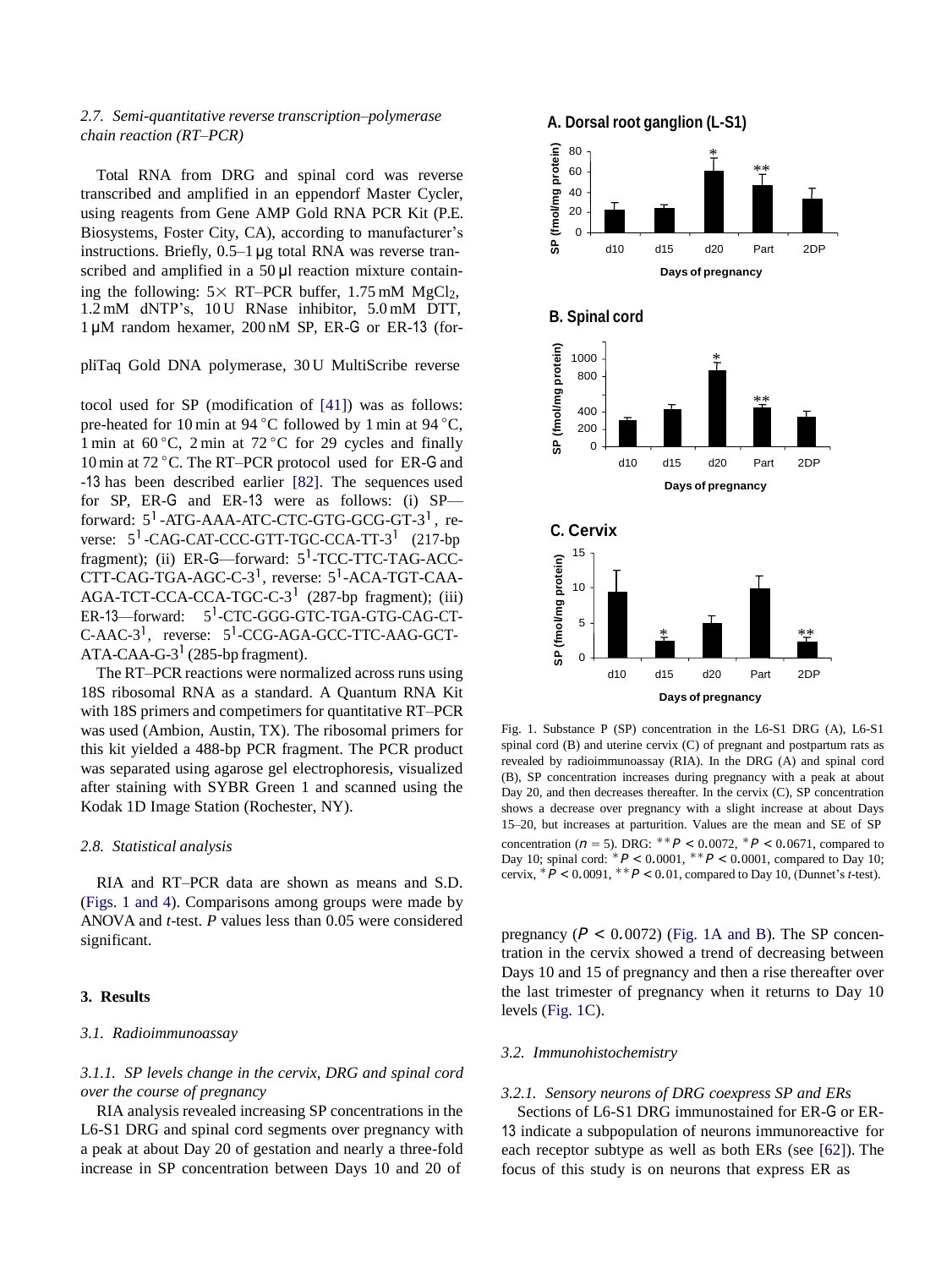## <span id="page-4-0"></span>*2.7. Semi-quantitative reverse transcription–polymerase chain reaction (RT–PCR)*

Total RNA from DRG and spinal cord was reverse transcribed and amplified in an eppendorf Master Cycler, using reagents from Gene AMP Gold RNA PCR Kit (P.E. Biosystems, Foster City, CA), according to manufacturer's instructions. Briefly,  $0.5-1 \mu$ g total RNA was reverse transcribed and amplified in a 50  $\mu$ l reaction mixture containing the following:  $5 \times RT-PCR$  buffer,  $1.75$  mM MgCl<sub>2</sub>, 1.2 mM dNTP's, 10 U RNase inhibitor, 5.0 mM DTT, 1 µM random hexamer, 200 nM SP, ER-G or ER-13 (for-

#### pliTaq Gold DNA polymerase, 30 U MultiScribe reverse

tocol used for SP (modification of [\[41\]\)](#page-10-10) was as follows: pre-heated for 10 min at 94 ◦C followed by 1 min at 94 ◦C, 1 min at  $60^{\circ}$ C, 2 min at  $72^{\circ}$ C for 29 cycles and finally 10min at 72 ◦C. The RT–PCR protocol used for ER-G and -13 has been described earlier [\[82\].](#page-11-0) The sequences used for SP, ER-G and ER-13 were as follows: (i) SP forward: 5<sup>1</sup>-ATG-AAA-ATC-CTC-GTG-GCG-GT-3<sup>1</sup>, reverse: 5<sup>1</sup>-CAG-CAT-CCC-GTT-TGC-CCA-TT-3<sup>1</sup> (217-bp fragment); (ii) ER-G—forward:  $5<sup>1</sup>$ -TCC-TTC-TAG-ACC-CTT-CAG-TGA-AGC-C-3<sup>1</sup>, reverse: 5<sup>1</sup>-ACA-TGT-CAA-AGA-TCT-CCA-CCA-TGC-C-3<sup>1</sup> (287-bp fragment); (iii) ER-13—forward: 5<sup>1</sup>-CTC-GGG-GTC-TGA-GTG-CAG-CT-C-AAC-3<sup>1</sup>, reverse: 5<sup>1</sup>-CCG-AGA-GCC-TTC-AAG-GCT- $ATA-CAA-G-3<sup>1</sup>$  (285-bp fragment).

The RT–PCR reactions were normalized across runs using 18S ribosomal RNA as a standard. A Quantum RNA Kit with 18S primers and competimers for quantitative RT–PCR was used (Ambion, Austin, TX). The ribosomal primers for this kit yielded a 488-bp PCR fragment. The PCR product was separated using agarose gel electrophoresis, visualized after staining with SYBR Green 1 and scanned using the Kodak 1D Image Station (Rochester, NY).

#### *2.8. Statistical analysis*

RIA and RT–PCR data are shown as means and S.D. [\(Figs.](#page-4-0) 1 and 4). Comparisons among groups were made by ANOVA and *t*-test. *P* values less than 0.05 were considered significant.

#### **3. Results**

#### *3.1. Radioimmunoassay*

# *3.1.1. SP levels change in the cervix, DRG and spinal cord over the course of pregnancy*

RIA analysis revealed increasing SP concentrations in the L6-S1 DRG and spinal cord segments over pregnancy with a peak at about Day 20 of gestation and nearly a three-fold increase in SP concentration between Days 10 and 20 of



Fig. 1. Substance P (SP) concentration in the L6-S1 DRG (A), L6-S1 spinal cord (B) and uterine cervix (C) of pregnant and postpartum rats as revealed by radioimmunoassay (RIA). In the DRG (A) and spinal cord (B), SP concentration increases during pregnancy with a peak at about Day 20, and then decreases thereafter. In the cervix (C), SP concentration shows a decrease over pregnancy with a slight increase at about Days 15–20, but increases at parturition. Values are the mean and SE of SP concentration ( $n = 5$ ). DRG: \*\**P* < 0.0072, \**P* < 0.0671, compared to Day 10; spinal cord:  $*P < 0.0001$ ,  $*P < 0.0001$ , compared to Day 10; cervix, <sup>∗</sup>*P <* 0*.*0091, ∗∗*P <* 0*.*01, compared to Day 10, (Dunnet's *t*-test).

pregnancy  $(P < 0.0072)$  [\(Fig.](#page-4-0) 1A and B). The SP concentration in the cervix showed a trend of decreasing between Days 10 and 15 of pregnancy and then a rise thereafter over the last trimester of pregnancy when it returns to Day 10 levels [\(Fig.](#page-4-0) 1C).

# *3.2. Immunohistochemistry*

#### *3.2.1. Sensory neurons of DRG coexpress SP and ERs*

Sections of L6-S1 DRG immunostained for ER-G or ER-13 indicate a subpopulation of neurons immunoreactive for each receptor subtype as well as both ERs (see [\[62\]\).](#page-11-5) The focus of this study is on neurons that express ER as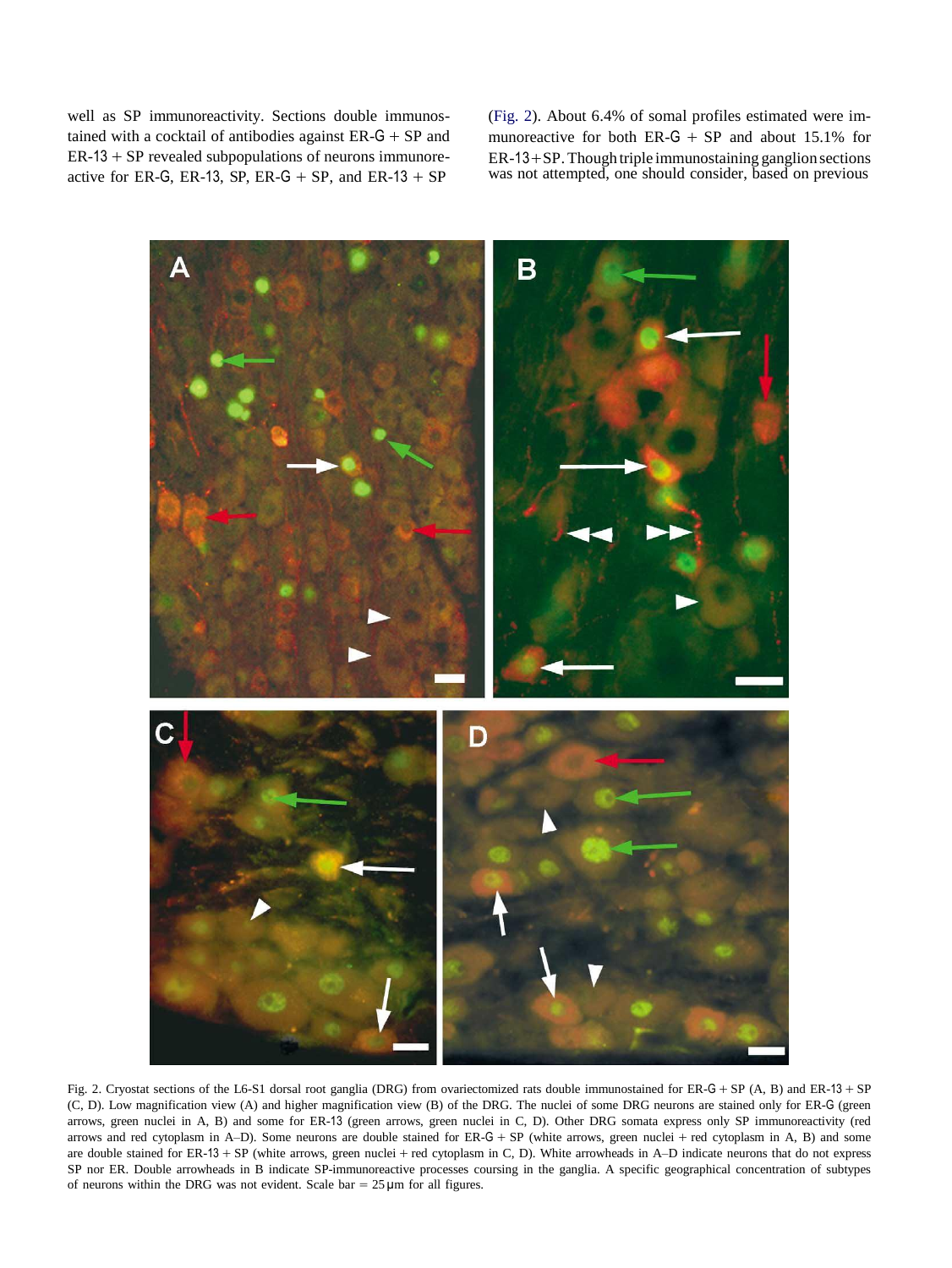well as SP immunoreactivity. Sections double immunostained with a cocktail of antibodies against  $ER-G + SP$  and  $ER-13 + SP$  revealed subpopulations of neurons immunoreactive for ER-G, ER-13, SP, ER-G + SP, and ER-13 + SP

[\(Fig.](#page-5-0) 2). About 6.4% of somal profiles estimated were immunoreactive for both  $ER-G + SP$  and about 15.1% for ER-13+SP.Though triple immunostaining ganglion sections was not attempted, one should consider, based on previous



<span id="page-5-0"></span>Fig. 2. Cryostat sections of the L6-S1 dorsal root ganglia (DRG) from ovariectomized rats double immunostained for ER-G + SP (A, B) and ER-13 + SP (C, D). Low magnification view (A) and higher magnification view (B) of the DRG. The nuclei of some DRG neurons are stained only for ER-G (green arrows, green nuclei in A, B) and some for ER-13 (green arrows, green nuclei in C, D). Other DRG somata express only SP immunoreactivity (red arrows and red cytoplasm in A–D). Some neurons are double stained for  $ER-G + SP$  (white arrows, green nuclei + red cytoplasm in A, B) and some are double stained for ER-13 + SP (white arrows, green nuclei + red cytoplasm in C, D). White arrowheads in A–D indicate neurons that do not express SP nor ER. Double arrowheads in B indicate SP-immunoreactive processes coursing in the ganglia. A specific geographical concentration of subtypes of neurons within the DRG was not evident. Scale bar =  $25 \mu m$  for all figures.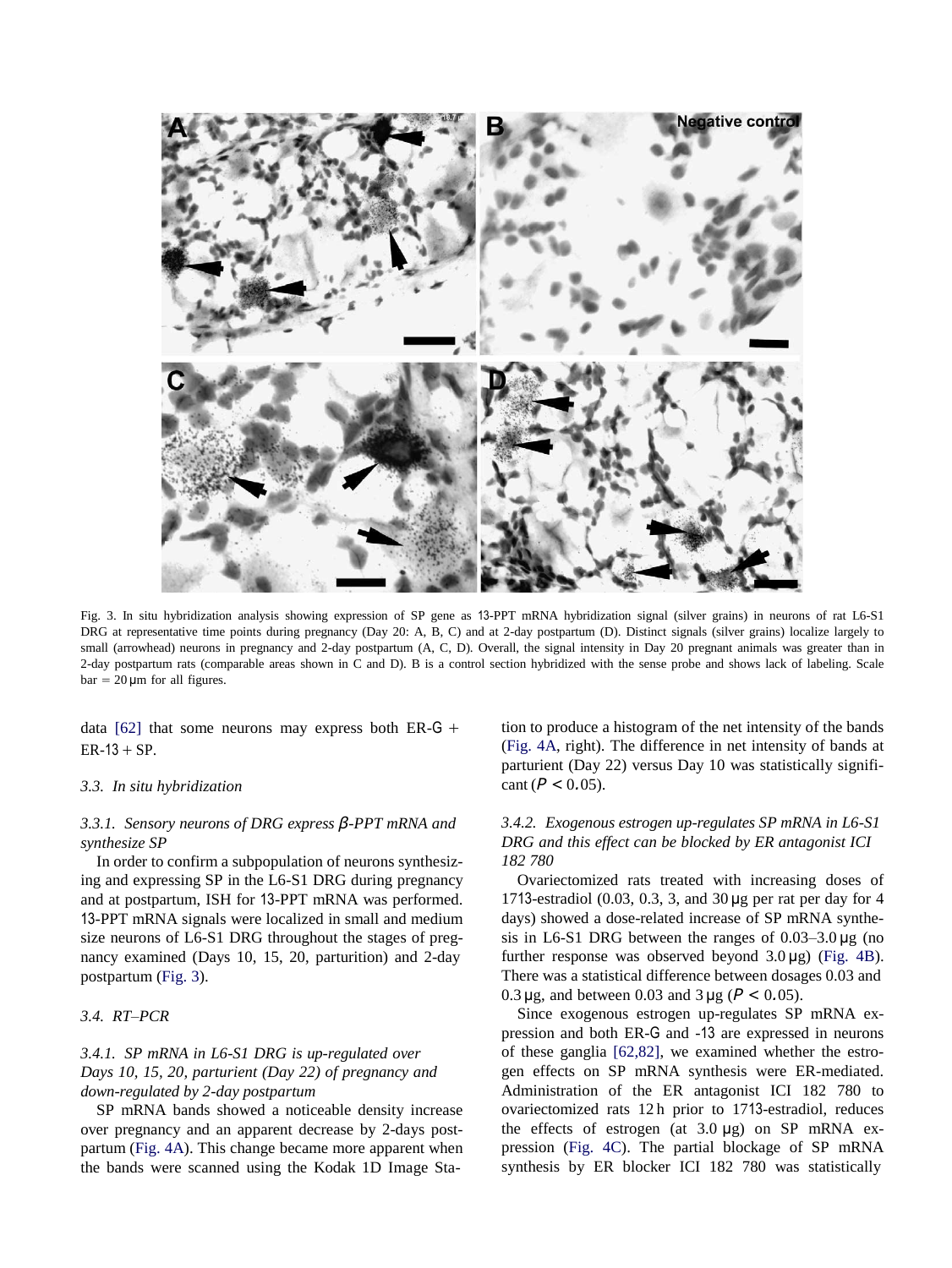

<span id="page-6-0"></span>Fig. 3. In situ hybridization analysis showing expression of SP gene as 13-PPT mRNA hybridization signal (silver grains) in neurons of rat L6-S1 DRG at representative time points during pregnancy (Day 20: A, B, C) and at 2-day postpartum (D). Distinct signals (silver grains) localize largely to small (arrowhead) neurons in pregnancy and 2-day postpartum (A, C, D). Overall, the signal intensity in Day 20 pregnant animals was greater than in 2-day postpartum rats (comparable areas shown in C and D). B is a control section hybridized with the sense probe and shows lack of labeling. Scale  $bar = 20 \,\text{\mu m}$  for all figures.

data [\[62\]](#page-11-5) that some neurons may express both  $ER-G +$  $ER-13 + SP$ .

#### *3.3. In situ hybridization*

# *3.3.1. Sensory neurons of DRG express β-PPT mRNA and synthesize SP*

In order to confirm a subpopulation of neurons synthesizing and expressing SP in the L6-S1 DRG during pregnancy and at postpartum, ISH for 13-PPT mRNA was performed. 13-PPT mRNA signals were localized in small and medium size neurons of L6-S1 DRG throughout the stages of pregnancy examined (Days 10, 15, 20, parturition) and 2-day postpartum [\(Fig.](#page-6-0) 3).

# *3.4. RT–PCR*

# *3.4.1. SP mRNA in L6-S1 DRG is up-regulated over Days 10, 15, 20, parturient (Day 22) of pregnancy and down-regulated by 2-day postpartum*

SP mRNA bands showed a noticeable density increase over pregnancy and an apparent decrease by 2-days postpartum [\(Fig.](#page-7-0) 4A). This change became more apparent when the bands were scanned using the Kodak 1D Image Station to produce a histogram of the net intensity of the bands [\(Fig.](#page-7-0) 4A, right). The difference in net intensity of bands at parturient (Day 22) versus Day 10 was statistically significant ( $P < 0.05$ ).

# *3.4.2. Exogenous estrogen up-regulates SP mRNA in L6-S1 DRG and this effect can be blocked by ER antagonist ICI 182 780*

Ovariectomized rats treated with increasing doses of 1713-estradiol (0.03, 0.3, 3, and 30 µg per rat per day for 4 days) showed a dose-related increase of SP mRNA synthesis in L6-S1 DRG between the ranges of  $0.03-3.0 \mu$ g (no further response was observed beyond  $3.0 \mu$ g) [\(Fig.](#page-7-0) 4B). There was a statistical difference between dosages 0.03 and 0.3  $\mu$ g, and between 0.03 and 3  $\mu$ g (*P* < 0.05).

Since exogenous estrogen up-regulates SP mRNA expression and both ER-G and -13 are expressed in neurons of these ganglia [\[62,82\],](#page-11-5) we examined whether the estrogen effects on SP mRNA synthesis were ER-mediated. Administration of the ER antagonist ICI 182 780 to ovariectomized rats 12 h prior to 1713-estradiol, reduces the effects of estrogen (at  $3.0 \mu$ g) on SP mRNA expression [\(Fig.](#page-7-0) 4C). The partial blockage of SP mRNA synthesis by ER blocker ICI 182 780 was statistically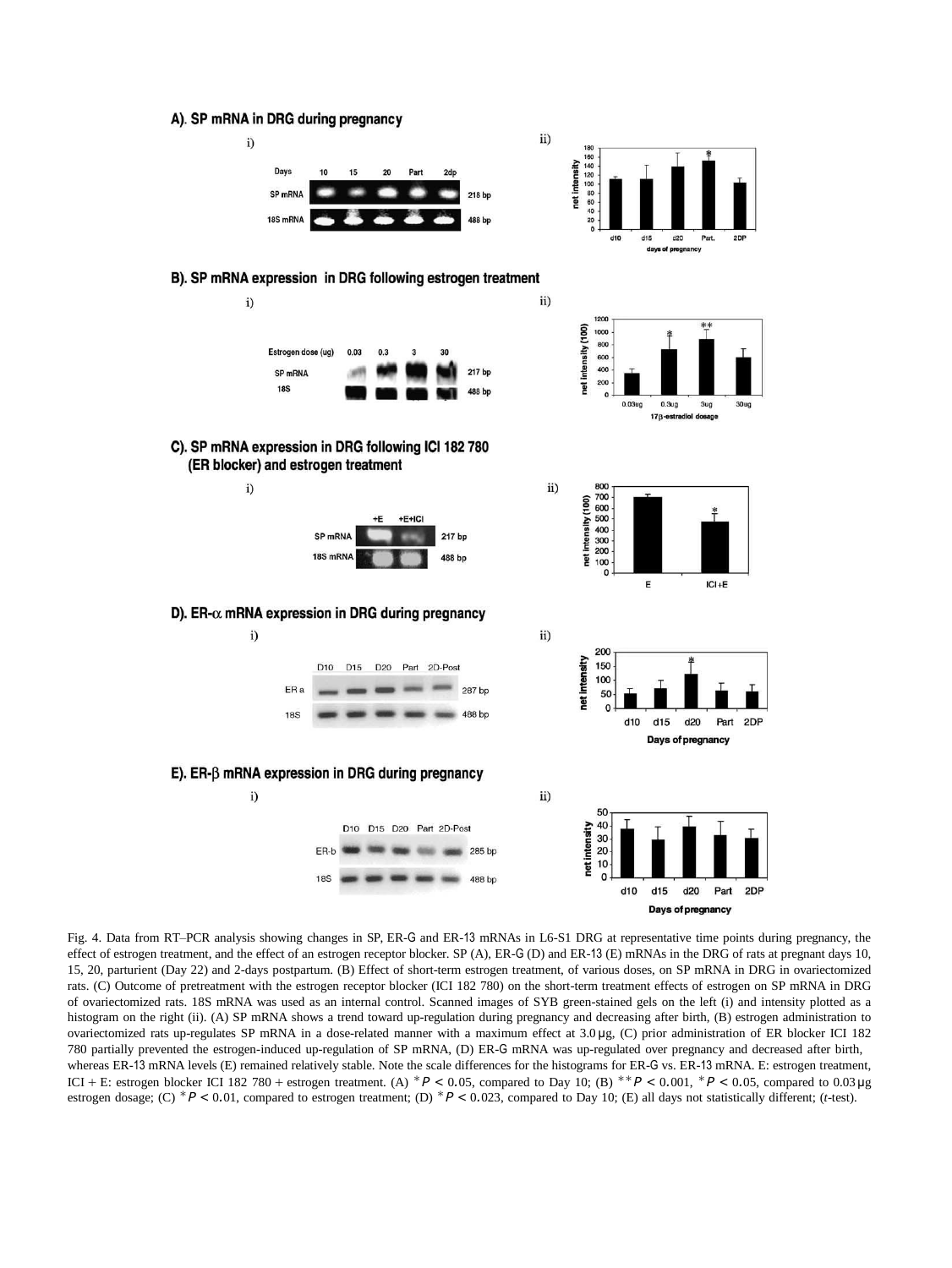A). SP mRNA in DRG during pregnancy



<span id="page-7-0"></span>Fig. 4. Data from RT–PCR analysis showing changes in SP, ER-G and ER-13 mRNAs in L6-S1 DRG at representative time points during pregnancy, the effect of estrogen treatment, and the effect of an estrogen receptor blocker. SP (A), ER-G (D) and ER-13 (E) mRNAs in the DRG of rats at pregnant days 10, 15, 20, parturient (Day 22) and 2-days postpartum. (B) Effect of short-term estrogen treatment, of various doses, on SP mRNA in DRG in ovariectomized rats. (C) Outcome of pretreatment with the estrogen receptor blocker (ICI 182 780) on the short-term treatment effects of estrogen on SP mRNA in DRG of ovariectomized rats. 18S mRNA was used as an internal control. Scanned images of SYB green-stained gels on the left (i) and intensity plotted as a histogram on the right (ii). (A) SP mRNA shows a trend toward up-regulation during pregnancy and decreasing after birth, (B) estrogen administration to ovariectomized rats up-regulates SP mRNA in a dose-related manner with a maximum effect at 3.0 µg, (C) prior administration of ER blocker ICI 182 780 partially prevented the estrogen-induced up-regulation of SP mRNA, (D) ER-G mRNA was up-regulated over pregnancy and decreased after birth, whereas ER-13 mRNA levels (E) remained relatively stable. Note the scale differences for the histograms for ER-G vs. ER-13 mRNA. E: estrogen treatment, ICI + E: estrogen blocker ICI 182 780 + estrogen treatment. (A)  $*P < 0.05$ , compared to Day 10; (B)  $*P < 0.001$ ,  $*P < 0.05$ , compared to 0.03µg estrogen dosage; (C) \* $P < 0.01$ , compared to estrogen treatment; (D) \* $P < 0.023$ , compared to Day 10; (E) all days not statistically different; (*t*-test).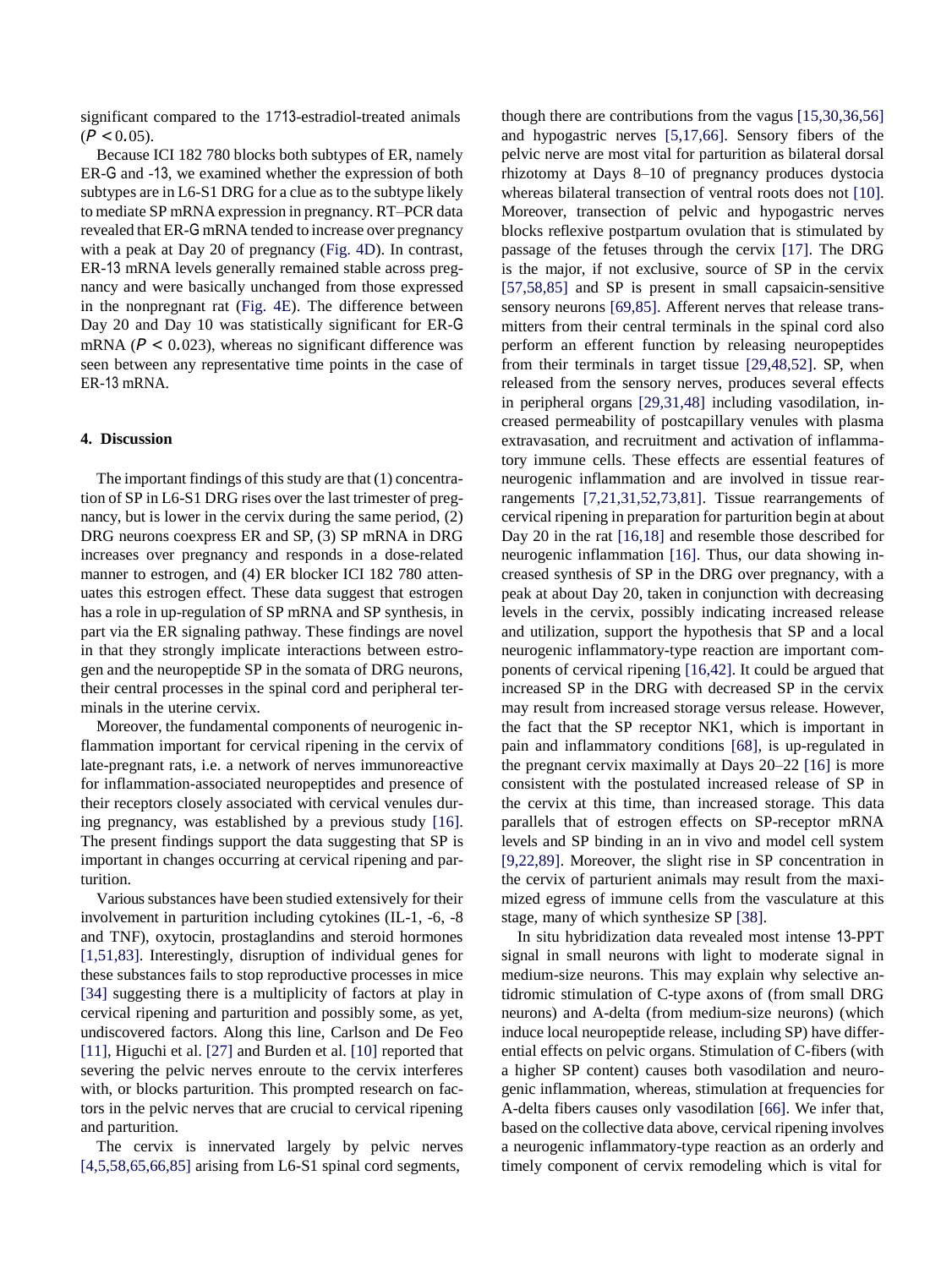significant compared to the 1713-estradiol-treated animals  $(P < 0.05)$ .

Because ICI 182 780 blocks both subtypes of ER, namely ER-G and -13, we examined whether the expression of both subtypes are in L6-S1 DRG for a clue as to the subtype likely to mediate SP mRNA expression in pregnancy. RT–PCR data revealed that ER-G mRNA tended to increase over pregnancy with a peak at Day 20 of pregnancy [\(Fig.](#page-7-0) 4D). In contrast, ER-13 mRNA levels generally remained stable across pregnancy and were basically unchanged from those expressed in the nonpregnant rat [\(Fig.](#page-7-0) 4E). The difference between Day 20 and Day 10 was statistically significant for ER-G mRNA ( $P < 0.023$ ), whereas no significant difference was seen between any representative time points in the case of ER-13 mRNA.

#### **4. Discussion**

The important findings of this study are that  $(1)$  concentration of SP in L6-S1 DRG rises over the last trimester of pregnancy, but is lower in the cervix during the same period, (2) DRG neurons coexpress ER and SP, (3) SP mRNA in DRG increases over pregnancy and responds in a dose-related manner to estrogen, and (4) ER blocker ICI 182 780 attenuates this estrogen effect. These data suggest that estrogen has a role in up-regulation of SP mRNA and SP synthesis, in part via the ER signaling pathway. These findings are novel in that they strongly implicate interactions between estrogen and the neuropeptide SP in the somata of DRG neurons, their central processes in the spinal cord and peripheral terminals in the uterine cervix.

Moreover, the fundamental components of neurogenic inflammation important for cervical ripening in the cervix of late-pregnant rats, i.e. a network of nerves immunoreactive for inflammation-associated neuropeptides and presence of their receptors closely associated with cervical venules during pregnancy, was established by a previous study [\[16\].](#page-10-1) The present findings support the data suggesting that SP is important in changes occurring at cervical ripening and parturition.

Various substances have been studied extensively for their involvement in parturition including cytokines (IL-1, -6, -8 and TNF), oxytocin, prostaglandins and steroid hormones [\[1,51,83\].](#page-9-0) Interestingly, disruption of individual genes for these substances fails to stop reproductive processes in mice [\[34\]](#page-10-11) suggesting there is a multiplicity of factors at play in cervical ripening and parturition and possibly some, as yet, undiscovered factors. Along this line, Carlson and De Feo [\[11\],](#page-10-12) Higuchi et al. [\[27\]](#page-10-13) and Burden et al. [\[10\]](#page-10-2) reported that severing the pelvic nerves enroute to the cervix interferes with, or blocks parturition. This prompted research on factors in the pelvic nerves that are crucial to cervical ripening and parturition.

The cervix is innervated largely by pelvic nerves [\[4,5,58,65,66,85\]](#page-9-1) arising from L6-S1 spinal cord segments,

though there are contributions from the vagus [\[15,30,36,56\]](#page-10-14) and hypogastric nerves [\[5,17,66\].](#page-9-3) Sensory fibers of the pelvic nerve are most vital for parturition as bilateral dorsal rhizotomy at Days 8–10 of pregnancy produces dystocia whereas bilateral transection of ventral roots does not [\[10\].](#page-10-2) Moreover, transection of pelvic and hypogastric nerves blocks reflexive postpartum ovulation that is stimulated by passage of the fetuses through the cervix [\[17\].](#page-10-15) The DRG is the major, if not exclusive, source of SP in the cervix [\[57,58,85\]](#page-11-4) and SP is present in small capsaicin-sensitive sensory neurons [\[69,85\].](#page-11-6) Afferent nerves that release transmitters from their central terminals in the spinal cord also perform an efferent function by releasing neuropeptides from their terminals in target tissue [\[29,48,52\].](#page-10-16) SP, when released from the sensory nerves, produces several effects in peripheral organs [\[29,31,48\]](#page-10-16) including vasodilation, increased permeability of postcapillary venules with plasma extravasation, and recruitment and activation of inflammatory immune cells. These effects are essential features of neurogenic inflammation and are involved in tissue rearrangements [\[7,21,31,52,73,81\].](#page-9-4) Tissue rearrangements of cervical ripening in preparation for parturition begin at about Day 20 in the rat [\[16,18\]](#page-10-1) and resemble those described for neurogenic inflammation [\[16\].](#page-10-1) Thus, our data showing increased synthesis of SP in the DRG over pregnancy, with a peak at about Day 20, taken in conjunction with decreasing levels in the cervix, possibly indicating increased release and utilization, support the hypothesis that SP and a local neurogenic inflammatory-type reaction are important components of cervical ripening [\[16,42\].](#page-10-1) It could be argued that increased SP in the DRG with decreased SP in the cervix may result from increased storage versus release. However, the fact that the SP receptor NK1, which is important in pain and inflammatory conditions [\[68\],](#page-11-7) is up-regulated in the pregnant cervix maximally at Days 20–22 [\[16\]](#page-10-1) is more consistent with the postulated increased release of SP in the cervix at this time, than increased storage. This data parallels that of estrogen effects on SP-receptor mRNA levels and SP binding in an in vivo and model cell system [\[9,22,89\].](#page-9-5) Moreover, the slight rise in SP concentration in the cervix of parturient animals may result from the maximized egress of immune cells from the vasculature at this stage, many of which synthesize SP [\[38\].](#page-10-17)

In situ hybridization data revealed most intense 13-PPT signal in small neurons with light to moderate signal in medium-size neurons. This may explain why selective antidromic stimulation of C-type axons of (from small DRG neurons) and A-delta (from medium-size neurons) (which induce local neuropeptide release, including SP) have differential effects on pelvic organs. Stimulation of C-fibers (with a higher SP content) causes both vasodilation and neurogenic inflammation, whereas, stimulation at frequencies for A-delta fibers causes only vasodilation [\[66\].](#page-11-8) We infer that, based on the collective data above, cervical ripening involves a neurogenic inflammatory-type reaction as an orderly and timely component of cervix remodeling which is vital for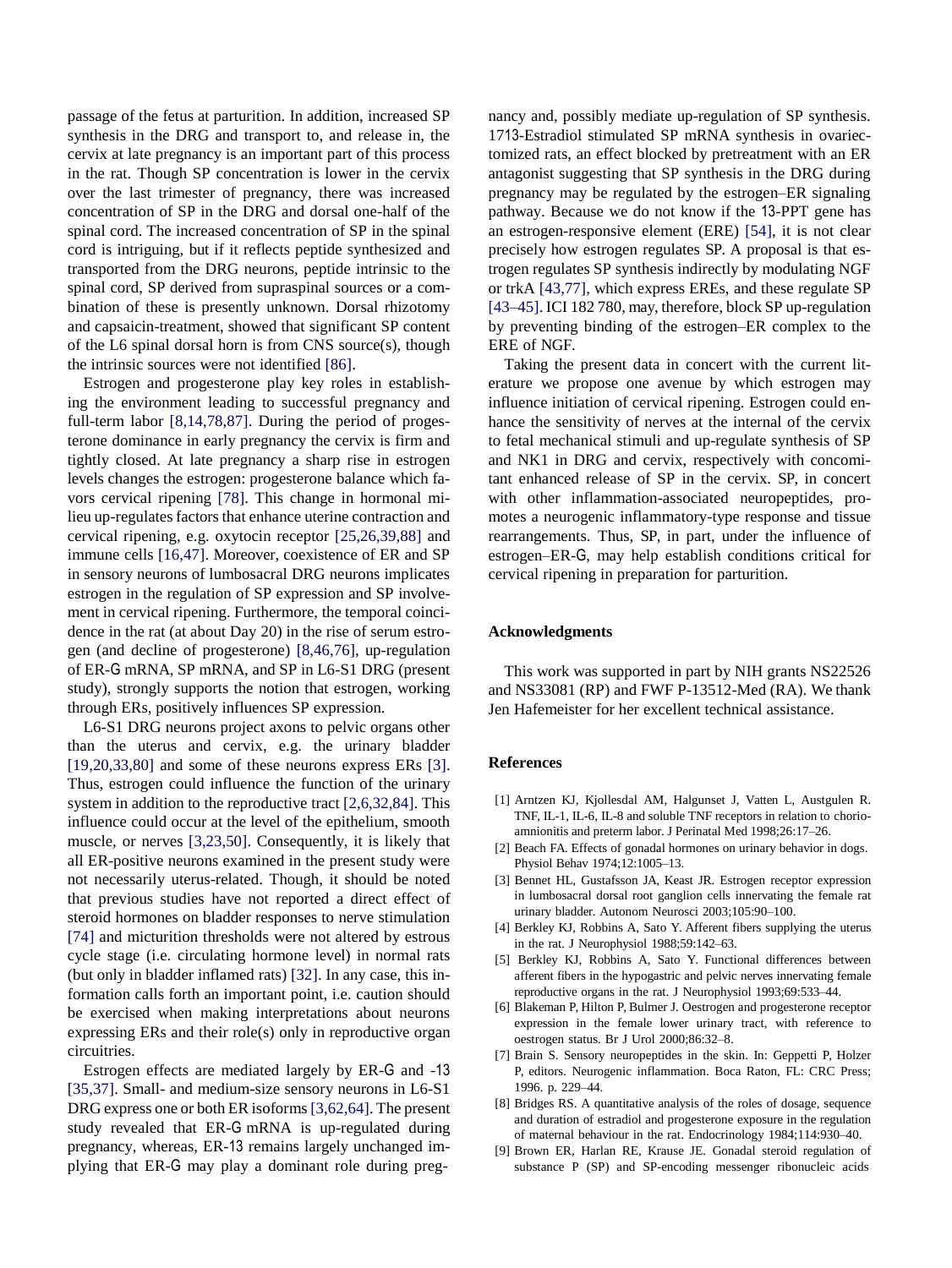passage of the fetus at parturition. In addition, increased SP synthesis in the DRG and transport to, and release in, the cervix at late pregnancy is an important part of this process in the rat. Though SP concentration is lower in the cervix over the last trimester of pregnancy, there was increased concentration of SP in the DRG and dorsal one-half of the spinal cord. The increased concentration of SP in the spinal cord is intriguing, but if it reflects peptide synthesized and transported from the DRG neurons, peptide intrinsic to the spinal cord, SP derived from supraspinal sources or a combination of these is presently unknown. Dorsal rhizotomy and capsaicin-treatment, showed that significant SP content of the L6 spinal dorsal horn is from CNS source(s), though the intrinsic sources were not identified [\[86\].](#page-11-9)

Estrogen and progesterone play key roles in establishing the environment leading to successful pregnancy and full-term labor [\[8,14,78,87\].](#page-9-2) During the period of progesterone dominance in early pregnancy the cervix is firm and tightly closed. At late pregnancy a sharp rise in estrogen levels changes the estrogen: progesterone balance which favors cervical ripening [\[78\].](#page-11-10) This change in hormonal milieu up-regulates factors that enhance uterine contraction and cervical ripening, e.g. oxytocin receptor [\[25,26,39,88\]](#page-10-18) and immune cells [\[16,47\].](#page-10-1) Moreover, coexistence of ER and SP in sensory neurons of lumbosacral DRG neurons implicates estrogen in the regulation of SP expression and SP involvement in cervical ripening. Furthermore, the temporal coincidence in the rat (at about Day 20) in the rise of serum estrogen (and decline of progesterone) [\[8,46,76\],](#page-9-2) up-regulation of ER-G mRNA, SP mRNA, and SP in L6-S1 DRG (present study), strongly supports the notion that estrogen, working through ERs, positively influences SP expression.

<span id="page-9-7"></span><span id="page-9-6"></span><span id="page-9-1"></span>L6-S1 DRG neurons project axons to pelvic organs other than the uterus and cervix, e.g. the urinary bladder [\[19,20,33,80\]](#page-10-19) and some of these neurons express ERs [\[3\].](#page-9-6) Thus, estrogen could influence the function of the urinary system in addition to the reproductive tract [\[2,6,32,84\].](#page-9-7) This influence could occur at the level of the epithelium, smooth muscle, or nerves [\[3,23,50\].](#page-9-6) Consequently, it is likely that all ER-positive neurons examined in the present study were not necessarily uterus-related. Though, it should be noted that previous studies have not reported a direct effect of steroid hormones on bladder responses to nerve stimulation [\[74\]](#page-11-11) and micturition thresholds were not altered by estrous cycle stage (i.e. circulating hormone level) in normal rats (but only in bladder inflamed rats) [\[32\].](#page-10-20) In any case, this information calls forth an important point, i.e. caution should be exercised when making interpretations about neurons expressing ERs and their role(s) only in reproductive organ circuitries.

<span id="page-9-5"></span><span id="page-9-4"></span><span id="page-9-3"></span><span id="page-9-2"></span>Estrogen effects are mediated largely by ER-G and -13 [\[35,37\].](#page-10-21) Small- and medium-size sensory neurons in L6-S1 DRG express one or both ER isoforms [\[3,62,64\].](#page-9-6) The present study revealed that ER-G mRNA is up-regulated during pregnancy, whereas, ER-13 remains largely unchanged implying that ER-G may play a dominant role during pregnancy and, possibly mediate up-regulation of SP synthesis. 1713-Estradiol stimulated SP mRNA synthesis in ovariectomized rats, an effect blocked by pretreatment with an ER antagonist suggesting that SP synthesis in the DRG during pregnancy may be regulated by the estrogen–ER signaling pathway. Because we do not know if the 13-PPT gene has an estrogen-responsive element (ERE) [\[54\],](#page-11-12) it is not clear precisely how estrogen regulates SP. A proposal is that estrogen regulates SP synthesis indirectly by modulating NGF or trkA [\[43,77\],](#page-10-22) which express EREs, and these regulate SP [\[43–45\].](#page-10-22) ICI 182 780, may, therefore, block SP up-regulation by preventing binding of the estrogen–ER complex to the ERE of NGF.

Taking the present data in concert with the current literature we propose one avenue by which estrogen may influence initiation of cervical ripening. Estrogen could enhance the sensitivity of nerves at the internal of the cervix to fetal mechanical stimuli and up-regulate synthesis of SP and NK1 in DRG and cervix, respectively with concomitant enhanced release of SP in the cervix. SP, in concert with other inflammation-associated neuropeptides, promotes a neurogenic inflammatory-type response and tissue rearrangements. Thus, SP, in part, under the influence of estrogen–ER-G, may help establish conditions critical for cervical ripening in preparation for parturition.

#### **Acknowledgments**

This work was supported in part by NIH grants NS22526 and NS33081 (RP) and FWF P-13512-Med (RA). We thank Jen Hafemeister for her excellent technical assistance.

#### <span id="page-9-0"></span>**References**

- [1] Arntzen KJ, Kjollesdal AM, Halgunset J, Vatten L, Austgulen R. TNF, IL-1, IL-6, IL-8 and soluble TNF receptors in relation to chorioamnionitis and preterm labor. J Perinatal Med 1998;26:17–26.
- [2] Beach FA. Effects of gonadal hormones on urinary behavior in dogs. Physiol Behav 1974;12:1005–13.
- [3] Bennet HL, Gustafsson JA, Keast JR. Estrogen receptor expression in lumbosacral dorsal root ganglion cells innervating the female rat urinary bladder. Autonom Neurosci 2003;105:90–100.
- [4] Berkley KJ, Robbins A, Sato Y. Afferent fibers supplying the uterus in the rat. J Neurophysiol 1988;59:142–63.
- [5] Berkley KJ, Robbins A, Sato Y. Functional differences between afferent fibers in the hypogastric and pelvic nerves innervating female reproductive organs in the rat. J Neurophysiol 1993;69:533–44.
- [6] Blakeman P, Hilton P, Bulmer J. Oestrogen and progesterone receptor expression in the female lower urinary tract, with reference to oestrogen status. Br J Urol 2000;86:32–8.
- [7] Brain S. Sensory neuropeptides in the skin. In: Geppetti P, Holzer P, editors. Neurogenic inflammation. Boca Raton, FL: CRC Press; 1996. p. 229–44.
- [8] Bridges RS. A quantitative analysis of the roles of dosage, sequence and duration of estradiol and progesterone exposure in the regulation of maternal behaviour in the rat. Endocrinology 1984;114:930–40.
- [9] Brown ER, Harlan RE, Krause JE. Gonadal steroid regulation of substance P (SP) and SP-encoding messenger ribonucleic acids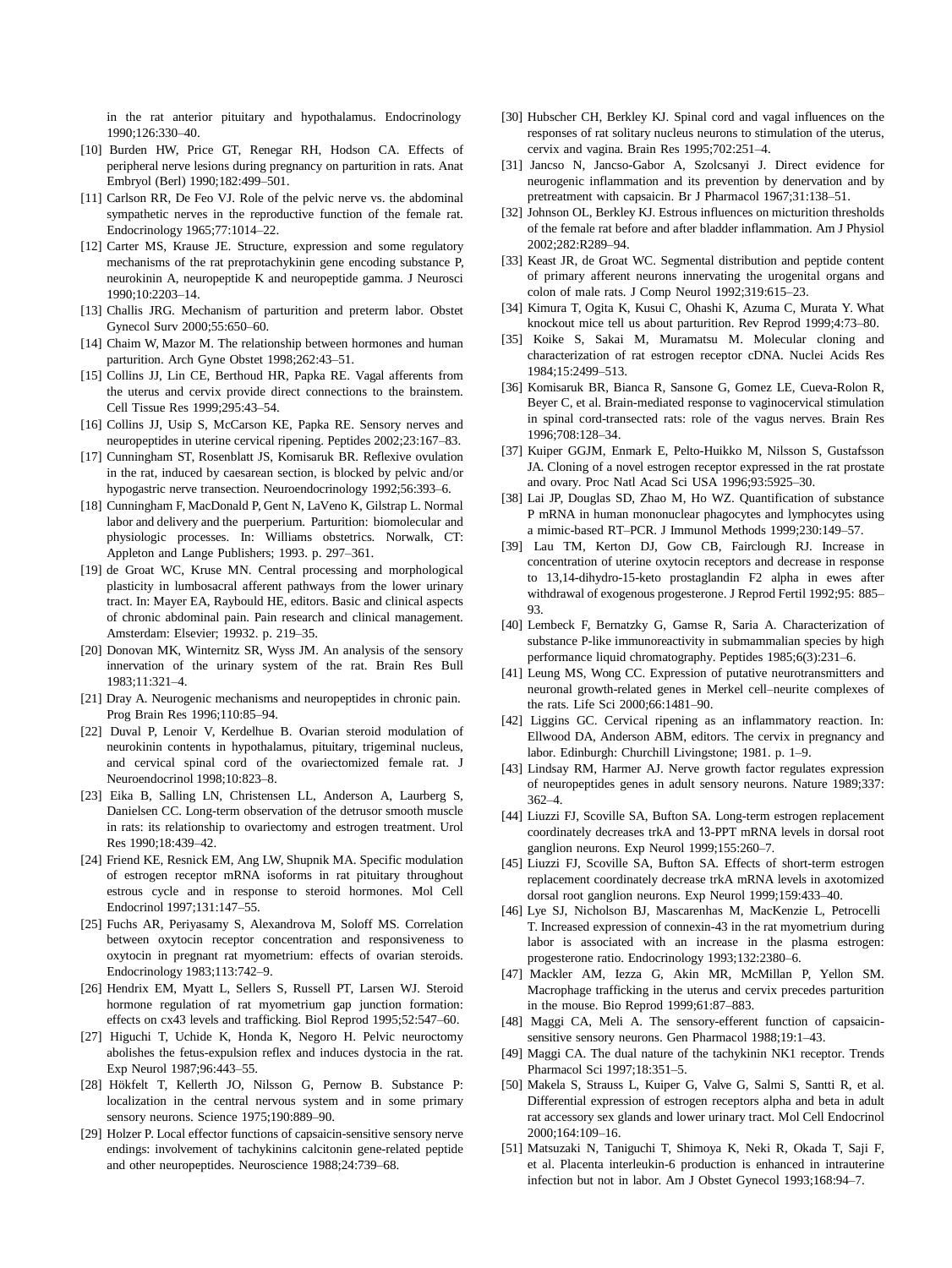<span id="page-10-2"></span>in the rat anterior pituitary and hypothalamus. Endocrinology 1990;126:330–40.

- <span id="page-10-20"></span><span id="page-10-12"></span>[10] Burden HW, Price GT, Renegar RH, Hodson CA. Effects of peripheral nerve lesions during pregnancy on parturition in rats. Anat Embryol (Berl) 1990;182:499–501.
- <span id="page-10-3"></span>[11] Carlson RR, De Feo VJ. Role of the pelvic nerve vs. the abdominal sympathetic nerves in the reproductive function of the female rat. Endocrinology 1965;77:1014–22.
- <span id="page-10-11"></span>[12] Carter MS, Krause JE. Structure, expression and some regulatory mechanisms of the rat preprotachykinin gene encoding substance P, neurokinin A, neuropeptide K and neuropeptide gamma. J Neurosci 1990;10:2203–14.
- <span id="page-10-21"></span><span id="page-10-14"></span>[13] Challis JRG. Mechanism of parturition and preterm labor. Obstet Gynecol Surv 2000;55:650–60.
- [14] Chaim W, Mazor M. The relationship between hormones and human parturition. Arch Gyne Obstet 1998;262:43–51.
- <span id="page-10-1"></span>[15] Collins JJ, Lin CE, Berthoud HR, Papka RE. Vagal afferents from the uterus and cervix provide direct connections to the brainstem. Cell Tissue Res 1999;295:43–54.
- <span id="page-10-15"></span>[16] Collins JJ, Usip S, McCarson KE, Papka RE. Sensory nerves and neuropeptides in uterine cervical ripening. Peptides 2002;23:167–83.
- <span id="page-10-17"></span>[17] Cunningham ST, Rosenblatt JS, Komisaruk BR. Reflexive ovulation in the rat, induced by caesarean section, is blocked by pelvic and/or hypogastric nerve transection. Neuroendocrinology 1992;56:393–6.
- <span id="page-10-19"></span>[18] Cunningham F, MacDonald P, Gent N, LaVeno K, Gilstrap L. Normal labor and delivery and the puerperium. Parturition: biomolecular and physiologic processes. In: Williams obstetrics. Norwalk, CT: Appleton and Lange Publishers; 1993. p. 297–361.
- <span id="page-10-8"></span>[19] de Groat WC, Kruse MN. Central processing and morphological plasticity in lumbosacral afferent pathways from the lower urinary tract. In: Mayer EA, Raybould HE, editors. Basic and clinical aspects of chronic abdominal pain. Pain research and clinical management. Amsterdam: Elsevier; 19932. p. 219–35.
- <span id="page-10-10"></span><span id="page-10-6"></span>[20] Donovan MK, Winternitz SR, Wyss JM. An analysis of the sensory innervation of the urinary system of the rat. Brain Res Bull 1983;11:321–4.
- <span id="page-10-22"></span>[21] Dray A. Neurogenic mechanisms and neuropeptides in chronic pain. Prog Brain Res 1996;110:85–94.
- [22] Duval P, Lenoir V, Kerdelhue B. Ovarian steroid modulation of neurokinin contents in hypothalamus, pituitary, trigeminal nucleus, and cervical spinal cord of the ovariectomized female rat. J Neuroendocrinol 1998;10:823–8.
- <span id="page-10-9"></span>[23] Eika B, Salling LN, Christensen LL, Anderson A, Laurberg S, Danielsen CC. Long-term observation of the detrusor smooth muscle in rats: its relationship to ovariectomy and estrogen treatment. Urol Res 1990;18:439–42.
- <span id="page-10-18"></span>[24] Friend KE, Resnick EM, Ang LW, Shupnik MA. Specific modulation of estrogen receptor mRNA isoforms in rat pituitary throughout estrous cycle and in response to steroid hormones. Mol Cell Endocrinol 1997;131:147–55.
- [25] Fuchs AR, Periyasamy S, Alexandrova M, Soloff MS. Correlation between oxytocin receptor concentration and responsiveness to oxytocin in pregnant rat myometrium: effects of ovarian steroids. Endocrinology 1983;113:742–9.
- <span id="page-10-13"></span><span id="page-10-7"></span><span id="page-10-4"></span>[26] Hendrix EM, Myatt L, Sellers S, Russell PT, Larsen WJ. Steroid hormone regulation of rat myometrium gap junction formation: effects on cx43 levels and trafficking. Biol Reprod 1995;52:547–60.
- <span id="page-10-5"></span>[27] Higuchi T, Uchide K, Honda K, Negoro H. Pelvic neuroctomy abolishes the fetus-expulsion reflex and induces dystocia in the rat. Exp Neurol 1987;96:443–55.
- <span id="page-10-16"></span>[28] Hökfelt T, Kellerth JO, Nilsson G, Pernow B. Substance P: localization in the central nervous system and in some primary sensory neurons. Science 1975;190:889–90.
- [29] Holzer P. Local effector functions of capsaicin-sensitive sensory nerve endings: involvement of tachykinins calcitonin gene-related peptide and other neuropeptides. Neuroscience 1988;24:739–68.
- [30] Hubscher CH, Berkley KJ. Spinal cord and vagal influences on the responses of rat solitary nucleus neurons to stimulation of the uterus, cervix and vagina. Brain Res 1995;702:251–4.
- [31] Jancso N, Jancso-Gabor A, Szolcsanyi J. Direct evidence for neurogenic inflammation and its prevention by denervation and by pretreatment with capsaicin. Br J Pharmacol 1967;31:138–51.
- [32] Johnson OL, Berkley KJ. Estrous influences on micturition thresholds of the female rat before and after bladder inflammation. Am J Physiol 2002;282:R289–94.
- <span id="page-10-0"></span>[33] Keast JR, de Groat WC. Segmental distribution and peptide content of primary afferent neurons innervating the urogenital organs and colon of male rats. J Comp Neurol 1992;319:615–23.
- [34] Kimura T, Ogita K, Kusui C, Ohashi K, Azuma C, Murata Y. What knockout mice tell us about parturition. Rev Reprod 1999;4:73–80.
- [35] Koike S, Sakai M, Muramatsu M. Molecular cloning and characterization of rat estrogen receptor cDNA. Nuclei Acids Res 1984;15:2499–513.
- [36] Komisaruk BR, Bianca R, Sansone G, Gomez LE, Cueva-Rolon R, Beyer C, et al. Brain-mediated response to vaginocervical stimulation in spinal cord-transected rats: role of the vagus nerves. Brain Res 1996;708:128–34.
- [37] Kuiper GGJM, Enmark E, Pelto-Huikko M, Nilsson S, Gustafsson JA. Cloning of a novel estrogen receptor expressed in the rat prostate and ovary. Proc Natl Acad Sci USA 1996;93:5925–30.
- [38] Lai JP, Douglas SD, Zhao M, Ho WZ. Quantification of substance P mRNA in human mononuclear phagocytes and lymphocytes using a mimic-based RT–PCR. J Immunol Methods 1999;230:149–57.
- [39] Lau TM, Kerton DJ, Gow CB, Fairclough RJ. Increase in concentration of uterine oxytocin receptors and decrease in response to 13,14-dihydro-15-keto prostaglandin F2 alpha in ewes after withdrawal of exogenous progesterone. J Reprod Fertil 1992;95: 885– 93.
- [40] Lembeck F, Bernatzky G, Gamse R, Saria A. Characterization of substance P-like immunoreactivity in submammalian species by high performance liquid chromatography. Peptides 1985;6(3):231–6.
- [41] Leung MS, Wong CC. Expression of putative neurotransmitters and neuronal growth-related genes in Merkel cell–neurite complexes of the rats. Life Sci 2000;66:1481–90.
- [42] Liggins GC. Cervical ripening as an inflammatory reaction. In: Ellwood DA, Anderson ABM, editors. The cervix in pregnancy and labor. Edinburgh: Churchill Livingstone; 1981. p. 1–9.
- [43] Lindsay RM, Harmer AJ. Nerve growth factor regulates expression of neuropeptides genes in adult sensory neurons. Nature 1989;337: 362–4.
- [44] Liuzzi FJ, Scoville SA, Bufton SA. Long-term estrogen replacement coordinately decreases trkA and 13-PPT mRNA levels in dorsal root ganglion neurons. Exp Neurol 1999;155:260–7.
- [45] Liuzzi FJ, Scoville SA, Bufton SA. Effects of short-term estrogen replacement coordinately decrease trkA mRNA levels in axotomized dorsal root ganglion neurons. Exp Neurol 1999;159:433–40.
- [46] Lye SJ, Nicholson BJ, Mascarenhas M, MacKenzie L, Petrocelli T. Increased expression of connexin-43 in the rat myometrium during labor is associated with an increase in the plasma estrogen: progesterone ratio. Endocrinology 1993;132:2380–6.
- [47] Mackler AM, Iezza G, Akin MR, McMillan P, Yellon SM. Macrophage trafficking in the uterus and cervix precedes parturition in the mouse. Bio Reprod 1999;61:87–883.
- [48] Maggi CA, Meli A. The sensory-efferent function of capsaicinsensitive sensory neurons. Gen Pharmacol 1988;19:1–43.
- [49] Maggi CA. The dual nature of the tachykinin NK1 receptor. Trends Pharmacol Sci 1997;18:351–5.
- [50] Makela S, Strauss L, Kuiper G, Valve G, Salmi S, Santti R, et al. Differential expression of estrogen receptors alpha and beta in adult rat accessory sex glands and lower urinary tract. Mol Cell Endocrinol 2000;164:109–16.
- [51] Matsuzaki N, Taniguchi T, Shimoya K, Neki R, Okada T, Saji F, et al. Placenta interleukin-6 production is enhanced in intrauterine infection but not in labor. Am J Obstet Gynecol 1993;168:94–7.